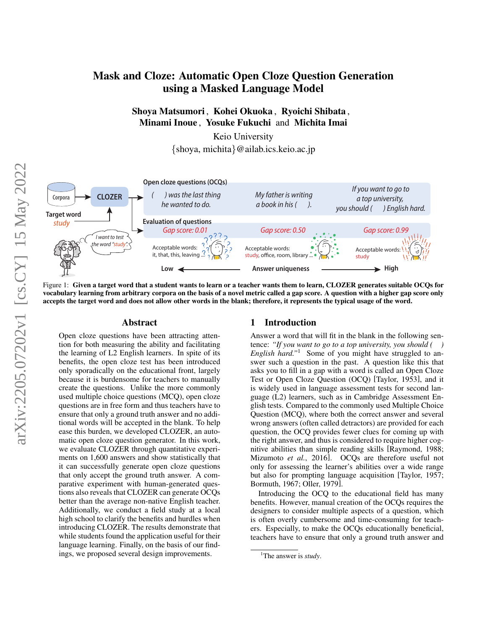# Mask and Cloze: Automatic Open Cloze Question Generation using a Masked Language Model

## Shoya Matsumori , Kohei Okuoka , Ryoichi Shibata , Minami Inoue , Yosuke Fukuchi and Michita Imai

Keio University {shoya, michita}@ailab.ics.keio.ac.jp

<span id="page-0-1"></span>

Figure 1: Given a target word that a student wants to learn or a teacher wants them to learn, CLOZER generates suitable OCQs for vocabulary learning from arbitrary corpora on the basis of a novel metric called a gap score. A question with a higher gap score only accepts the target word and does not allow other words in the blank; therefore, it represents the typical usage of the word.

#### Abstract

Open cloze questions have been attracting attention for both measuring the ability and facilitating the learning of L2 English learners. In spite of its benefits, the open cloze test has been introduced only sporadically on the educational front, largely because it is burdensome for teachers to manually create the questions. Unlike the more commonly used multiple choice questions (MCQ), open cloze questions are in free form and thus teachers have to ensure that only a ground truth answer and no additional words will be accepted in the blank. To help ease this burden, we developed CLOZER, an automatic open cloze question generator. In this work, we evaluate CLOZER through quantitative experiments on 1,600 answers and show statistically that it can successfully generate open cloze questions that only accept the ground truth answer. A comparative experiment with human-generated questions also reveals that CLOZER can generate OCQs better than the average non-native English teacher. Additionally, we conduct a field study at a local high school to clarify the benefits and hurdles when introducing CLOZER. The results demonstrate that while students found the application useful for their language learning. Finally, on the basis of our findings, we proposed several design improvements.

### 1 Introduction

Answer a word that will fit in the blank in the following sentence: *"If you want to go to a top university, you should ( ) English hard."*[1](#page-0-0) Some of you might have struggled to answer such a question in the past. A question like this that asks you to fill in a gap with a word is called an Open Cloze Test or Open Cloze Question (OCQ) [\[Taylor, 1953\]](#page-13-0), and it is widely used in language assessment tests for second language (L2) learners, such as in Cambridge Assessment English tests. Compared to the commonly used Multiple Choice Question (MCQ), where both the correct answer and several wrong answers (often called detractors) are provided for each question, the OCQ provides fewer clues for coming up with the right answer, and thus is considered to require higher cognitive abilities than simple reading skills [\[Raymond, 1988;](#page-13-1) [Mizumoto](#page-13-2) *et al.*, 2016]. OCQs are therefore useful not only for assessing the learner's abilities over a wide range but also for prompting language acquisition [\[Taylor, 1957;](#page-13-3) [Bormuth, 1967;](#page-12-0) [Oller, 1979\]](#page-13-4).

Introducing the OCQ to the educational field has many benefits. However, manual creation of the OCQs requires the designers to consider multiple aspects of a question, which is often overly cumbersome and time-consuming for teachers. Especially, to make the OCQs educationally beneficial, teachers have to ensure that only a ground truth answer and

<span id="page-0-0"></span><sup>&</sup>lt;sup>1</sup>The answer is *study*.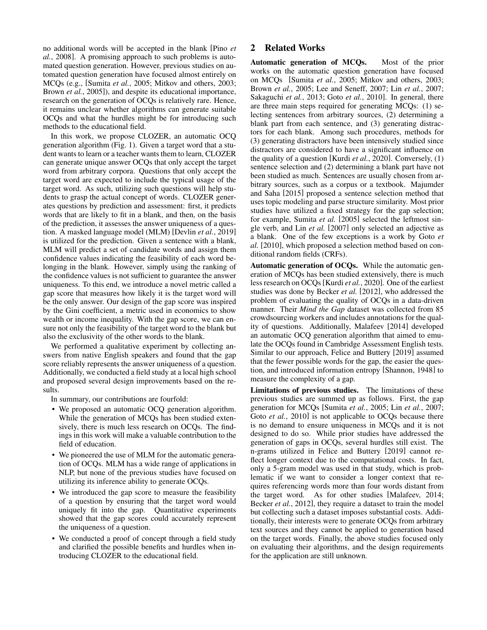no additional words will be accepted in the blank [\[Pino](#page-13-5) *et al.*[, 2008\]](#page-13-5). A promising approach to such problems is automated question generation. However, previous studies on automated question generation have focused almost entirely on MCQs (e.g., [\[Sumita](#page-13-6) *et al.*, 2005; [Mitkov and others, 2003;](#page-13-7) Brown *et al.*[, 2005\]](#page-12-1)), and despite its educational importance, research on the generation of OCQs is relatively rare. Hence, it remains unclear whether algorithms can generate suitable OCQs and what the hurdles might be for introducing such methods to the educational field.

In this work, we propose CLOZER, an automatic OCQ generation algorithm (Fig. [1\)](#page-0-1). Given a target word that a student wants to learn or a teacher wants them to learn, CLOZER can generate unique answer OCQs that only accept the target word from arbitrary corpora. Questions that only accept the target word are expected to include the typical usage of the target word. As such, utilizing such questions will help students to grasp the actual concept of words. CLOZER generates questions by prediction and assessment: first, it predicts words that are likely to fit in a blank, and then, on the basis of the prediction, it assesses the answer uniqueness of a question. A masked language model (MLM) [\[Devlin](#page-12-2) *et al.*, 2019] is utilized for the prediction. Given a sentence with a blank, MLM will predict a set of candidate words and assign them confidence values indicating the feasibility of each word belonging in the blank. However, simply using the ranking of the confidence values is not sufficient to guarantee the answer uniqueness. To this end, we introduce a novel metric called a gap score that measures how likely it is the target word will be the only answer. Our design of the gap score was inspired by the Gini coefficient, a metric used in economics to show wealth or income inequality. With the gap score, we can ensure not only the feasibility of the target word to the blank but also the exclusivity of the other words to the blank.

We performed a qualitative experiment by collecting answers from native English speakers and found that the gap score reliably represents the answer uniqueness of a question. Additionally, we conducted a field study at a local high school and proposed several design improvements based on the results.

In summary, our contributions are fourfold:

- We proposed an automatic OCQ generation algorithm. While the generation of MCQs has been studied extensively, there is much less research on OCQs. The findings in this work will make a valuable contribution to the field of education.
- We pioneered the use of MLM for the automatic generation of OCQs. MLM has a wide range of applications in NLP, but none of the previous studies have focused on utilizing its inference ability to generate OCQs.
- We introduced the gap score to measure the feasibility of a question by ensuring that the target word would uniquely fit into the gap. Quantitative experiments showed that the gap scores could accurately represent the uniqueness of a question.
- We conducted a proof of concept through a field study and clarified the possible benefits and hurdles when introducing CLOZER to the educational field.

## 2 Related Works

Automatic generation of MCQs. Most of the prior works on the automatic question generation have focused on MCQs [\[Sumita](#page-13-6) *et al.*, 2005; [Mitkov and others, 2003;](#page-13-7) Brown *et al.*[, 2005;](#page-12-1) [Lee and Seneff, 2007;](#page-13-8) Lin *et al.*[, 2007;](#page-13-9) [Sakaguchi](#page-13-10) *et al.*, 2013; Goto *et al.*[, 2010\]](#page-12-3). In general, there are three main steps required for generating MCQs: (1) selecting sentences from arbitrary sources, (2) determining a blank part from each sentence, and (3) generating distractors for each blank. Among such procedures, methods for (3) generating distractors have been intensively studied since distractors are considered to have a significant influence on the quality of a question [Kurdi *et al.*[, 2020\]](#page-12-4). Conversely, (1) sentence selection and (2) determining a blank part have not been studied as much. Sentences are usually chosen from arbitrary sources, such as a corpus or a textbook. [Majumder](#page-13-11) [and Saha](#page-13-11) [\[2015\]](#page-13-11) proposed a sentence selection method that uses topic modeling and parse structure similarity. Most prior studies have utilized a fixed strategy for the gap selection; for example, [Sumita](#page-13-6) *et al.* [\[2005\]](#page-13-6) selected the leftmost single verb, and Lin *[et al.](#page-13-9)* [\[2007\]](#page-13-9) only selected an adjective as a blank. One of the few exceptions is a work by [Goto](#page-12-3) *et [al.](#page-12-3)* [\[2010\]](#page-12-3), which proposed a selection method based on conditional random fields (CRFs).

Automatic generation of OCQs. While the automatic generation of MCQs has been studied extensively, there is much less research on OCQs[Kurdi *et al.*[, 2020\]](#page-12-4). One of the earliest studies was done by [Becker](#page-12-5) *et al.* [\[2012\]](#page-12-5), who addressed the problem of evaluating the quality of OCQs in a data-driven manner. Their *Mind the Gap* dataset was collected from 85 crowdsourcing workers and includes annotations for the quality of questions. Additionally, [Malafeev](#page-13-12) [\[2014\]](#page-13-12) developed an automatic OCQ generation algorithm that aimed to emulate the OCQs found in Cambridge Assessment English tests. Similar to our approach, [Felice and Buttery](#page-12-6) [\[2019\]](#page-12-6) assumed that the fewer possible words for the gap, the easier the question, and introduced information entropy [\[Shannon, 1948\]](#page-13-13) to measure the complexity of a gap.

Limitations of previous studies. The limitations of these previous studies are summed up as follows. First, the gap generation for MCQs [\[Sumita](#page-13-6) *et al.*, 2005; Lin *et al.*[, 2007;](#page-13-9) Goto *et al.*[, 2010\]](#page-12-3) is not applicable to OCQs because there is no demand to ensure uniqueness in MCQs and it is not designed to do so. While prior studies have addressed the generation of gaps in OCQs, several hurdles still exist. The n-grams utilized in [Felice and Buttery](#page-12-6) [\[2019\]](#page-12-6) cannot reflect longer context due to the computational costs. In fact, only a 5-gram model was used in that study, which is problematic if we want to consider a longer context that requires referencing words more than four words distant from the target word. As for other studies [\[Malafeev, 2014;](#page-13-12) [Becker](#page-12-5) *et al.*, 2012], they require a dataset to train the model but collecting such a dataset imposes substantial costs. Additionally, their interests were to generate OCQs from arbitrary text sources and they cannot be applied to generation based on the target words. Finally, the above studies focused only on evaluating their algorithms, and the design requirements for the application are still unknown.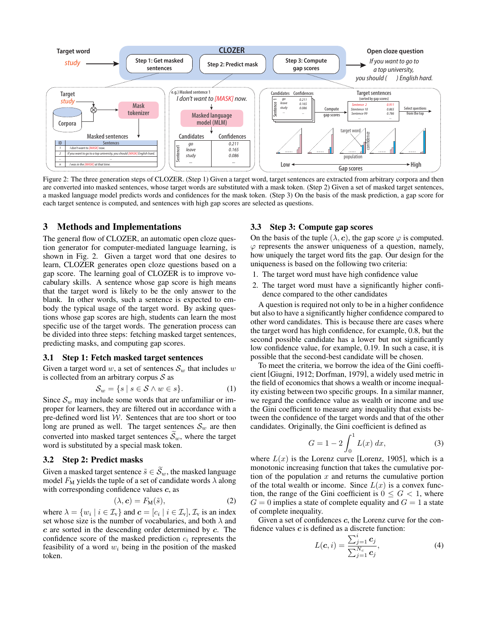<span id="page-2-0"></span>

Figure 2: The three generation steps of CLOZER. (Step 1) Given a target word, target sentences are extracted from arbitrary corpora and then are converted into masked sentences, whose target words are substituted with a mask token. (Step 2) Given a set of masked target sentences, a masked language model predicts words and confidences for the mask token. (Step 3) On the basis of the mask prediction, a gap score for each target sentence is computed, and sentences with high gap scores are selected as questions.

#### 3 Methods and Implementations

The general flow of CLOZER, an automatic open cloze question generator for computer-mediated language learning, is shown in Fig. [2.](#page-2-0) Given a target word that one desires to learn, CLOZER generates open cloze questions based on a gap score. The learning goal of CLOZER is to improve vocabulary skills. A sentence whose gap score is high means that the target word is likely to be the only answer to the blank. In other words, such a sentence is expected to embody the typical usage of the target word. By asking questions whose gap scores are high, students can learn the most specific use of the target words. The generation process can be divided into three steps: fetching masked target sentences, predicting masks, and computing gap scores.

#### 3.1 Step 1: Fetch masked target sentences

Given a target word w, a set of sentences  $\mathcal{S}_w$  that includes w is collected from an arbitrary corpus  $S$  as

$$
\mathcal{S}_w = \{ s \mid s \in \mathcal{S} \land w \in s \}. \tag{1}
$$

Since  $\mathcal{S}_w$  may include some words that are unfamiliar or improper for learners, they are filtered out in accordance with a pre-defined word list  $W$ . Sentences that are too short or too long are pruned as well. The target sentences  $S_w$  are then converted into masked target sentences  $\widetilde{S}_w$ , where the target word is substituted by a special mask token.

#### 3.2 Step 2: Predict masks

Given a masked target sentence  $\tilde{s} \in \widetilde{S}_w$ , the masked language model  $F_M$  yields the tuple of a set of candidate words  $\lambda$  along with corresponding confidence values  $c$ , as

$$
(\lambda, \mathbf{c}) = F_{\mathbf{M}}(\tilde{s}), \tag{2}
$$

where  $\lambda = \{w_i \mid i \in \mathcal{I}_v\}$  and  $\mathbf{c} = [c_i \mid i \in \mathcal{I}_v]$ ,  $\mathcal{I}_v$  is an index set whose size is the number of vocabularies, and both  $\lambda$  and c are sorted in the descending order determined by c. The confidence score of the masked prediction  $c_i$  represents the feasibility of a word  $w_i$  being in the position of the masked token.

### 3.3 Step 3: Compute gap scores

On the basis of the tuple  $(\lambda, c)$ , the gap score  $\varphi$  is computed.  $\varphi$  represents the answer uniqueness of a question, namely, how uniquely the target word fits the gap. Our design for the uniqueness is based on the following two criteria:

- 1. The target word must have high confidence value
- 2. The target word must have a significantly higher confidence compared to the other candidates

A question is required not only to be in a higher confidence but also to have a significantly higher confidence compared to other word candidates. This is because there are cases where the target word has high confidence, for example, 0.8, but the second possible candidate has a lower but not significantly low confidence value, for example, 0.19. In such a case, it is possible that the second-best candidate will be chosen.

To meet the criteria, we borrow the idea of the Gini coefficient [\[Giugni, 1912;](#page-12-7) [Dorfman, 1979\]](#page-12-8), a widely used metric in the field of economics that shows a wealth or income inequality existing between two specific groups. In a similar manner, we regard the confidence value as wealth or income and use the Gini coefficient to measure any inequality that exists between the confidence of the target words and that of the other candidates. Originally, the Gini coefficient is defined as

<span id="page-2-1"></span>
$$
G = 1 - 2 \int_0^1 L(x) \, dx,\tag{3}
$$

where  $L(x)$  is the Lorenz curve [\[Lorenz, 1905\]](#page-13-14), which is a monotonic increasing function that takes the cumulative portion of the population  $x$  and returns the cumulative portion of the total wealth or income. Since  $L(x)$  is a convex function, the range of the Gini coefficient is  $0 \leq G < 1$ , where  $G = 0$  implies a state of complete equality and  $G = 1$  a state of complete inequality.

<span id="page-2-2"></span>Given a set of confidences c, the Lorenz curve for the confidence values  $c$  is defined as a discrete function:

$$
L(\mathbf{c}, i) = \frac{\sum_{j=1}^{i} \mathbf{c}_j}{\sum_{j=1}^{N_c} \mathbf{c}_j},
$$
\n(4)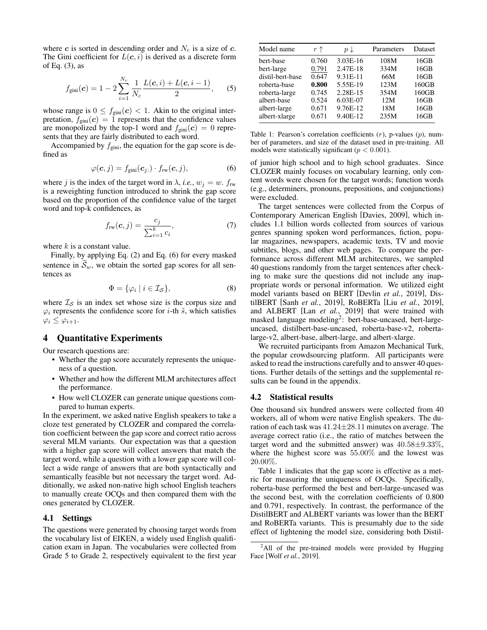where c is sorted in descending order and  $N_c$  is a size of c. The Gini coefficient for  $L(c, i)$  is derived as a discrete form of Eq. [\(3\)](#page-2-1), as

$$
f_{\text{gini}}(\mathbf{c}) = 1 - 2 \sum_{i=1}^{N_c} \frac{1}{N_c} \frac{L(\mathbf{c}, i) + L(\mathbf{c}, i - 1)}{2}, \quad (5)
$$

whose range is  $0 \le f_{\text{gini}}(c) < 1$ . Akin to the original interpretation,  $f_{\text{gini}}(c) = 1$  represents that the confidence values are monopolized by the top-1 word and  $f_{\text{gini}}(c) = 0$  represents that they are fairly distributed to each word.

Accompanied by  $f_{\text{gini}}$ , the equation for the gap score is defined as

$$
\varphi(\mathbf{c},j) = f_{\text{gini}}(\mathbf{c}_{j:}) \cdot f_{\text{rw}}(\mathbf{c},j), \tag{6}
$$

where j is the index of the target word in  $\lambda$ , *i.e.*,  $w_i = w$ .  $f_{rw}$ is a reweighting function introduced to shrink the gap score based on the proportion of the confidence value of the target word and top-k confidences, as

$$
f_{\text{rw}}(\boldsymbol{c},j) = \frac{c_j}{\sum_{i=1}^k c_i},\tag{7}
$$

where  $k$  is a constant value.

Finally, by applying Eq. [\(2\)](#page-2-2) and Eq. [\(6\)](#page-3-0) for every masked sentence in  $\mathcal{S}_w$ , we obtain the sorted gap scores for all sentences as

$$
\Phi = \{ \varphi_i \mid i \in \mathcal{I}_\mathcal{S} \},\tag{8}
$$

where  $\mathcal{I}_{\mathcal{S}}$  is an index set whose size is the corpus size and  $\varphi_i$  represents the confidence score for *i*-th  $\tilde{s}$ , which satisfies  $\varphi_i \leq \varphi_{i+1}.$ 

## 4 Quantitative Experiments

Our research questions are:

- Whether the gap score accurately represents the uniqueness of a question.
- Whether and how the different MLM architectures affect the performance.
- How well CLOZER can generate unique questions compared to human experts.

In the experiment, we asked native English speakers to take a cloze test generated by CLOZER and compared the correlation coefficient between the gap score and correct ratio across several MLM variants. Our expectation was that a question with a higher gap score will collect answers that match the target word, while a question with a lower gap score will collect a wide range of answers that are both syntactically and semantically feasible but not necessary the target word. Additionally, we asked non-native high school English teachers to manually create OCQs and then compared them with the ones generated by CLOZER.

#### 4.1 Settings

The questions were generated by choosing target words from the vocabulary list of EIKEN, a widely used English qualification exam in Japan. The vocabularies were collected from Grade 5 to Grade 2, respectively equivalent to the first year

<span id="page-3-2"></span>

| Model name       | $r \uparrow$ | $p \downarrow$ | Parameters | Dataset |
|------------------|--------------|----------------|------------|---------|
| bert-base        | 0.760        | 3.03E-16       | 108M       | 16GB    |
| bert-large       | 0.791        | 2.47E-18       | 334M       | 16GB    |
| distil-bert-base | 0.647        | 9.31E-11       | 66M        | 16GB    |
| roberta-base     | 0.800        | 5.55E-19       | 123M       | 160GB   |
| roberta-large    | 0.745        | 2.28E-15       | 354M       | 160GB   |
| albert-base      | 0.524        | 6.03E-07       | 12M        | 16GB    |
| albert-large     | 0.671        | 9.76E-12       | 18M        | 16GB    |
| albert-xlarge    | 0.671        | 9.40E-12       | 235M       | 16GB    |

Table 1: Pearson's correlation coefficients  $(r)$ , p-values  $(p)$ , number of parameters, and size of the dataset used in pre-training. All models were statistically significant ( $p < 0.001$ ).

<span id="page-3-0"></span>of junior high school and to high school graduates. Since CLOZER mainly focuses on vocabulary learning, only content words were chosen for the target words; function words (e.g., determiners, pronouns, prepositions, and conjunctions) were excluded.

The target sentences were collected from the Corpus of Contemporary American English [\[Davies, 2009\]](#page-12-9), which includes 1.1 billion words collected from sources of various genres spanning spoken word performances, fiction, popular magazines, newspapers, academic texts, TV and movie subtitles, blogs, and other web pages. To compare the performance across different MLM architectures, we sampled 40 questions randomly from the target sentences after checking to make sure the questions did not include any inappropriate words or personal information. We utilized eight model variants based on BERT [Devlin *et al.*[, 2019\]](#page-12-2), DistilBERT [Sanh *et al.*[, 2019\]](#page-13-15), RoBERTa [Liu *et al.*[, 2019\]](#page-13-16), and ALBERT [Lan *et al.*[, 2019\]](#page-12-10) that were trained with masked language modeling<sup>[2](#page-3-1)</sup>: bert-base-uncased, bert-largeuncased, distilbert-base-uncased, roberta-base-v2, robertalarge-v2, albert-base, albert-large, and albert-xlarge.

We recruited participants from Amazon Mechanical Turk, the popular crowdsourcing platform. All participants were asked to read the instructions carefully and to answer 40 questions. Further details of the settings and the supplemental results can be found in the appendix.

#### 4.2 Statistical results

One thousand six hundred answers were collected from 40 workers, all of whom were native English speakers. The duration of each task was 41.24±28.11 minutes on average. The average correct ratio (i.e., the ratio of matches between the target word and the submitted answer) was  $40.58 \pm 9.33\%$ , where the highest score was 55.00% and the lowest was 20.00%.

Table [1](#page-3-2) indicates that the gap score is effective as a metric for measuring the uniqueness of OCQs. Specifically, roberta-base performed the best and bert-large-uncased was the second best, with the correlation coefficients of 0.800 and 0.791, respectively. In contrast, the performance of the DistilBERT and ALBERT variants was lower than the BERT and RoBERTa variants. This is presumably due to the side effect of lightening the model size, considering both Distil-

<span id="page-3-1"></span><sup>&</sup>lt;sup>2</sup>All of the pre-trained models were provided by Hugging Face [Wolf *et al.*[, 2019\]](#page-13-17).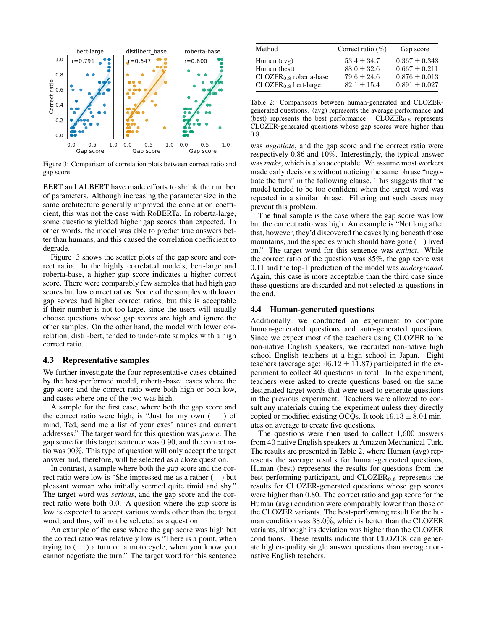<span id="page-4-0"></span>

Figure 3: Comparison of correlation plots between correct ratio and gap score.

BERT and ALBERT have made efforts to shrink the number of parameters. Although increasing the parameter size in the same architecture generally improved the correlation coefficient, this was not the case with RoBERTa. In roberta-large, some questions yielded higher gap scores than expected. In other words, the model was able to predict true answers better than humans, and this caused the correlation coefficient to degrade.

Figure [3](#page-4-0) shows the scatter plots of the gap score and correct ratio. In the highly correlated models, bert-large and roberta-base, a higher gap score indicates a higher correct score. There were comparably few samples that had high gap scores but low correct ratios. Some of the samples with lower gap scores had higher correct ratios, but this is acceptable if their number is not too large, since the users will usually choose questions whose gap scores are high and ignore the other samples. On the other hand, the model with lower correlation, distil-bert, tended to under-rate samples with a high correct ratio.

#### 4.3 Representative samples

We further investigate the four representative cases obtained by the best-performed model, roberta-base: cases where the gap score and the correct ratio were both high or both low, and cases where one of the two was high.

A sample for the first case, where both the gap score and the correct ratio were high, is "Just for my own  $($ ) of mind, Ted, send me a list of your exes' names and current addresses." The target word for this question was *peace*. The gap score for this target sentence was 0.90, and the correct ratio was 90%. This type of question will only accept the target answer and, therefore, will be selected as a cloze question.

In contrast, a sample where both the gap score and the correct ratio were low is "She impressed me as a rather ( ) but pleasant woman who initially seemed quite timid and shy." The target word was *serious*, and the gap score and the correct ratio were both 0.0. A question where the gap score is low is expected to accept various words other than the target word, and thus, will not be selected as a question.

An example of the case where the gap score was high but the correct ratio was relatively low is "There is a point, when trying to ( ) a turn on a motorcycle, when you know you cannot negotiate the turn." The target word for this sentence

<span id="page-4-1"></span>

| Method                   | Correct ratio $(\%)$ | Gap score         |
|--------------------------|----------------------|-------------------|
| Human $(avg)$            | $53.4 + 34.7$        | $0.367 + 0.348$   |
| Human (best)             | $88.0 + 32.6$        | $0.667 + 0.211$   |
| $CLOZER0.8$ roberta-base | $79.6 \pm 24.6$      | $0.876 \pm 0.013$ |
| $CLOZER0.8$ bert-large   | $82.1 + 15.4$        | $0.891 + 0.027$   |

Table 2: Comparisons between human-generated and CLOZERgenerated questions. (avg) represents the average performance and (best) represents the best performance.  $CLOZER<sub>0.8</sub>$  represents CLOZER-generated questions whose gap scores were higher than 0.8.

was *negotiate*, and the gap score and the correct ratio were respectively 0.86 and 10%. Interestingly, the typical answer was *make*, which is also acceptable. We assume most workers made early decisions without noticing the same phrase "negotiate the turn" in the following clause. This suggests that the model tended to be too confident when the target word was repeated in a similar phrase. Filtering out such cases may prevent this problem.

The final sample is the case where the gap score was low but the correct ratio was high. An example is "Not long after that, however, they'd discovered the caves lying beneath those mountains, and the species which should have gone ( ) lived on." The target word for this sentence was *extinct*. While the correct ratio of the question was 85%, the gap score was 0.11 and the top-1 prediction of the model was *underground*. Again, this case is more acceptable than the third case since these questions are discarded and not selected as questions in the end.

#### 4.4 Human-generated questions

Additionally, we conducted an experiment to compare human-generated questions and auto-generated questions. Since we expect most of the teachers using CLOZER to be non-native English speakers, we recruited non-native high school English teachers at a high school in Japan. Eight teachers (average age:  $46.12 \pm 11.87$ ) participated in the experiment to collect 40 questions in total. In the experiment, teachers were asked to create questions based on the same designated target words that were used to generate questions in the previous experiment. Teachers were allowed to consult any materials during the experiment unless they directly copied or modified existing OCQs. It took  $19.13 \pm 8.04$  minutes on average to create five questions.

The questions were then used to collect 1,600 answers from 40 native English speakers at Amazon Mechanical Turk. The results are presented in Table [2,](#page-4-1) where Human (avg) represents the average results for human-generated questions, Human (best) represents the results for questions from the best-performing participant, and  $CLOZER<sub>0.8</sub>$  represents the results for CLOZER-generated questions whose gap scores were higher than 0.80. The correct ratio and gap score for the Human (avg) condition were comparably lower than those of the CLOZER variants. The best-performing result for the human condition was 88.0%, which is better than the CLOZER variants, although its deviation was higher than the CLOZER conditions. These results indicate that CLOZER can generate higher-quality single answer questions than average nonnative English teachers.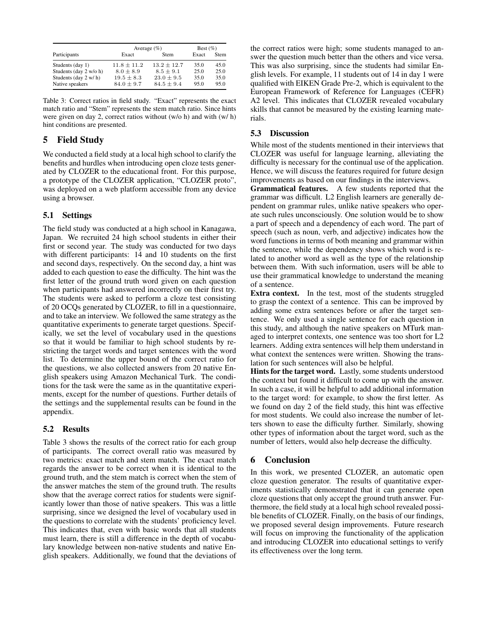<span id="page-5-0"></span>

|                        | Average $(\% )$ |               | Best $(\%)$ |             |
|------------------------|-----------------|---------------|-------------|-------------|
| Participants           | Exact           | <b>Stem</b>   | Exact       | <b>Stem</b> |
| Students (day 1)       | $11.8 + 11.2$   | $13.2 + 12.7$ | 35.0        | 45.0        |
| Students (day 2 w/o h) | $8.0 + 8.9$     | $8.5 + 9.1$   | 25.0        | 25.0        |
| Students (day 2 w/h)   | $19.5 \pm 8.3$  | $23.0 + 9.5$  | 35.0        | 35.0        |
| Native speakers        | $84.0 + 9.7$    | $84.5 + 9.4$  | 95.0        | 95.0        |

Table 3: Correct ratios in field study. "Exact" represents the exact match ratio and "Stem" represents the stem match ratio. Since hints were given on day 2, correct ratios without (w/o h) and with (w/ h) hint conditions are presented.

## 5 Field Study

We conducted a field study at a local high school to clarify the benefits and hurdles when introducing open cloze tests generated by CLOZER to the educational front. For this purpose, a prototype of the CLOZER application, "CLOZER proto", was deployed on a web platform accessible from any device using a browser.

## 5.1 Settings

The field study was conducted at a high school in Kanagawa, Japan. We recruited 24 high school students in either their first or second year. The study was conducted for two days with different participants: 14 and 10 students on the first and second days, respectively. On the second day, a hint was added to each question to ease the difficulty. The hint was the first letter of the ground truth word given on each question when participants had answered incorrectly on their first try. The students were asked to perform a cloze test consisting of 20 OCQs generated by CLOZER, to fill in a questionnaire, and to take an interview. We followed the same strategy as the quantitative experiments to generate target questions. Specifically, we set the level of vocabulary used in the questions so that it would be familiar to high school students by restricting the target words and target sentences with the word list. To determine the upper bound of the correct ratio for the questions, we also collected answers from 20 native English speakers using Amazon Mechanical Turk. The conditions for the task were the same as in the quantitative experiments, except for the number of questions. Further details of the settings and the supplemental results can be found in the appendix.

## 5.2 Results

Table [3](#page-5-0) shows the results of the correct ratio for each group of participants. The correct overall ratio was measured by two metrics: exact match and stem match. The exact match regards the answer to be correct when it is identical to the ground truth, and the stem match is correct when the stem of the answer matches the stem of the ground truth. The results show that the average correct ratios for students were significantly lower than those of native speakers. This was a little surprising, since we designed the level of vocabulary used in the questions to correlate with the students' proficiency level. This indicates that, even with basic words that all students must learn, there is still a difference in the depth of vocabulary knowledge between non-native students and native English speakers. Additionally, we found that the deviations of the correct ratios were high; some students managed to answer the question much better than the others and vice versa. This was also surprising, since the students had similar English levels. For example, 11 students out of 14 in day 1 were qualified with EIKEN Grade Pre-2, which is equivalent to the European Framework of Reference for Languages (CEFR) A2 level. This indicates that CLOZER revealed vocabulary skills that cannot be measured by the existing learning materials.

## 5.3 Discussion

While most of the students mentioned in their interviews that CLOZER was useful for language learning, alleviating the difficulty is necessary for the continual use of the application. Hence, we will discuss the features required for future design improvements as based on our findings in the interviews.

Grammatical features. A few students reported that the grammar was difficult. L2 English learners are generally dependent on grammar rules, unlike native speakers who operate such rules unconsciously. One solution would be to show a part of speech and a dependency of each word. The part of speech (such as noun, verb, and adjective) indicates how the word functions in terms of both meaning and grammar within the sentence, while the dependency shows which word is related to another word as well as the type of the relationship between them. With such information, users will be able to use their grammatical knowledge to understand the meaning of a sentence.

Extra context. In the test, most of the students struggled to grasp the context of a sentence. This can be improved by adding some extra sentences before or after the target sentence. We only used a single sentence for each question in this study, and although the native speakers on MTurk managed to interpret contexts, one sentence was too short for L2 learners. Adding extra sentences will help them understand in what context the sentences were written. Showing the translation for such sentences will also be helpful.

Hints for the target word. Lastly, some students understood the context but found it difficult to come up with the answer. In such a case, it will be helpful to add additional information to the target word: for example, to show the first letter. As we found on day 2 of the field study, this hint was effective for most students. We could also increase the number of letters shown to ease the difficulty further. Similarly, showing other types of information about the target word, such as the number of letters, would also help decrease the difficulty.

## 6 Conclusion

In this work, we presented CLOZER, an automatic open cloze question generator. The results of quantitative experiments statistically demonstrated that it can generate open cloze questions that only accept the ground truth answer. Furthermore, the field study at a local high school revealed possible benefits of CLOZER. Finally, on the basis of our findings, we proposed several design improvements. Future research will focus on improving the functionality of the application and introducing CLOZER into educational settings to verify its effectiveness over the long term.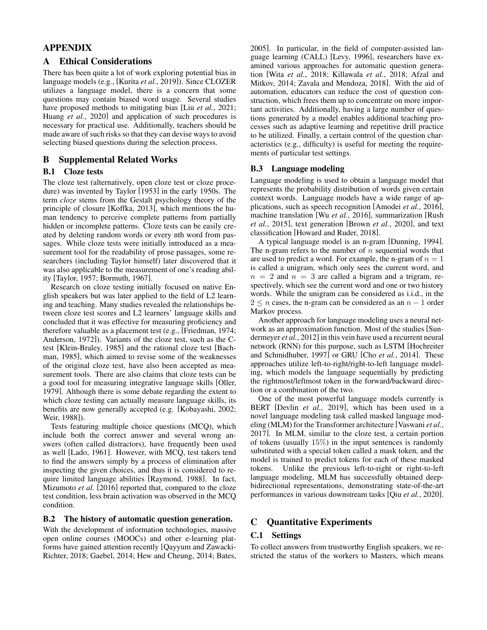## APPENDIX

### A Ethical Considerations

There has been quite a lot of work exploring potential bias in language models (e.g., [\[Kurita](#page-12-11) *et al.*, 2019]). Since CLOZER utilizes a language model, there is a concern that some questions may contain biased word usage. Several studies have proposed methods to mitigating bias [Liu *et al.*[, 2021;](#page-13-18) Huang *et al.*[, 2020\]](#page-12-12) and application of such procedures is necessary for practical use. Additionally, teachers should be made aware of such risks so that they can devise ways to avoid selecting biased questions during the selection process.

### B Supplemental Related Works

### B.1 Cloze tests

The cloze test (alternatively, open cloze test or cloze procedure) was invented by [Taylor](#page-13-0) [\[1953\]](#page-13-0) in the early 1950s. The term *cloze* stems from the Gestalt psychology theory of the principle of closure [\[Koffka, 2013\]](#page-12-13), which mentions the human tendency to perceive complete patterns from partially hidden or incomplete patterns. Cloze tests can be easily created by deleting random words or every nth word from passages. While cloze tests were initially introduced as a measurement tool for the readability of prose passages, some researchers (including Taylor himself) later discovered that it was also applicable to the measurement of one's reading ability [\[Taylor, 1957;](#page-13-3) [Bormuth, 1967\]](#page-12-0).

Research on cloze testing initially focused on native English speakers but was later applied to the field of L2 learning and teaching. Many studies revealed the relationships between cloze test scores and L2 learners' language skills and concluded that it was effective for measuring proficiency and therefore valuable as a placement test (e.g., [\[Friedman, 1974;](#page-12-14) [Anderson, 1972\]](#page-12-15)). Variants of the cloze test, such as the Ctest [\[Klein-Braley, 1985\]](#page-12-16) and the rational cloze test [\[Bach](#page-12-17)[man, 1985\]](#page-12-17), which aimed to revise some of the weaknesses of the original cloze test, have also been accepted as measurement tools. There are also claims that cloze tests can be a good tool for measuring integrative language skills [\[Oller,](#page-13-4) [1979\]](#page-13-4). Although there is some debate regarding the extent to which cloze testing can actually measure language skills, its benefits are now generally accepted (e.g. [\[Kobayashi, 2002;](#page-12-18) [Weir, 1988\]](#page-13-19)).

Tests featuring multiple choice questions (MCQ), which include both the correct answer and several wrong answers (often called distractors), have frequently been used as well [\[Lado, 1961\]](#page-12-19). However, with MCQ, test takers tend to find the answers simply by a process of elimination after inspecting the given choices, and thus it is considered to require limited language abilities [\[Raymond, 1988\]](#page-13-1). In fact, [Mizumoto](#page-13-2) *et al.* [\[2016\]](#page-13-2) reported that, compared to the cloze test condition, less brain activation was observed in the MCQ condition.

#### B.2 The history of automatic question generation.

With the development of information technologies, massive open online courses (MOOCs) and other e-learning platforms have gained attention recently [\[Qayyum and Zawacki-](#page-13-20)[Richter, 2018;](#page-13-20) [Gaebel, 2014;](#page-12-20) [Hew and Cheung, 2014;](#page-12-21) [Bates,](#page-12-22) [2005\]](#page-12-22). In particular, in the field of computer-assisted language learning (CALL) [\[Levy, 1996\]](#page-13-21), researchers have examined various approaches for automatic question generation [Wita *et al.*[, 2018;](#page-13-22) [Killawala](#page-12-23) *et al.*, 2018; [Afzal and](#page-12-24) [Mitkov, 2014;](#page-12-24) [Zavala and Mendoza, 2018\]](#page-13-23). With the aid of automation, educators can reduce the cost of question construction, which frees them up to concentrate on more important activities. Additionally, having a large number of questions generated by a model enables additional teaching processes such as adaptive learning and repetitive drill practice to be utilized. Finally, a certain control of the question characteristics (e.g., difficulty) is useful for meeting the requirements of particular test settings.

#### B.3 Language modeling

Language modeling is used to obtain a language model that represents the probability distribution of words given certain context words. Language models have a wide range of applications, such as speech recognition [\[Amodei](#page-12-25) *et al.*, 2016], machine translation [Wu *et al.*[, 2016\]](#page-13-24), summarization [\[Rush](#page-13-25) *et al.*[, 2015\]](#page-13-25), text generation [\[Brown](#page-12-26) *et al.*, 2020], and text classification [\[Howard and Ruder, 2018\]](#page-12-27).

A typical language model is an n-gram [\[Dunning, 1994\]](#page-12-28). The n-gram refers to the number of  $n$  sequential words that are used to predict a word. For example, the n-gram of  $n = 1$ is called a unigram, which only sees the current word, and  $n = 2$  and  $n = 3$  are called a bigram and a trigram, respectively, which see the current word and one or two history words. While the unigram can be considered as i.i.d., in the  $2 \leq n$  cases, the n-gram can be considered as an  $n - 1$  order Markov process.

Another approach for language modeling uses a neural network as an approximation function. Most of the studies [\[Sun](#page-13-26)[dermeyer](#page-13-26) *et al.*, 2012] in this vein have used a recurrent neural network (RNN) for this purpose, such as LSTM [\[Hochreiter](#page-12-29) [and Schmidhuber, 1997\]](#page-12-29) or GRU [Cho *et al.*[, 2014\]](#page-12-30). These approaches utilize left-to-right/right-to-left language modeling, which models the language sequentially by predicting the rightmost/leftmost token in the forward/backward direction or a combination of the two.

One of the most powerful language models currently is BERT [Devlin *et al.*[, 2019\]](#page-12-2), which has been used in a novel language modeling task called masked language modeling (MLM) for the Transformer architecture [\[Vaswani](#page-13-27) *et al.*, [2017\]](#page-13-27). In MLM, similar to the cloze test, a certain portion of tokens (usually  $15\%$ ) in the input sentences is randomly substituted with a special token called a mask token, and the model is trained to predict tokens for each of these masked tokens. Unlike the previous left-to-right or right-to-left language modeling, MLM has successfully obtained deepbidirectional representations, demonstrating state-of-the-art performances in various downstream tasks [Qiu *et al.*[, 2020\]](#page-13-28).

### C Quantitative Experiments

### C.1 Settings

To collect answers from trustworthy English speakers, we restricted the status of the workers to Masters, which means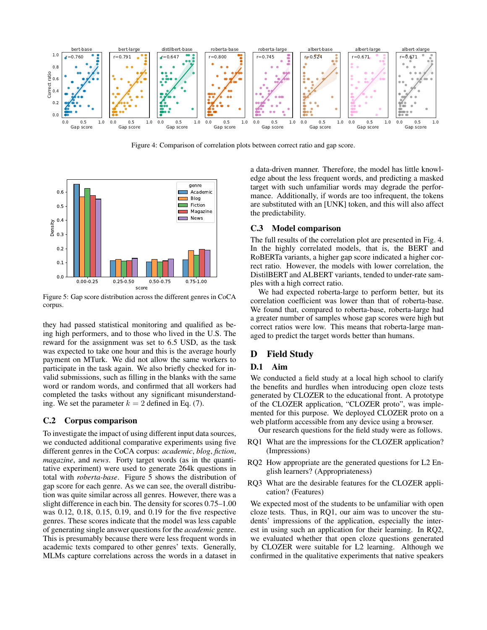<span id="page-7-1"></span>

Figure 4: Comparison of correlation plots between correct ratio and gap score.

<span id="page-7-0"></span>

Figure 5: Gap score distribution across the different genres in CoCA corpus.

they had passed statistical monitoring and qualified as being high performers, and to those who lived in the U.S. The reward for the assignment was set to 6.5 USD, as the task was expected to take one hour and this is the average hourly payment on MTurk. We did not allow the same workers to participate in the task again. We also briefly checked for invalid submissions, such as filling in the blanks with the same word or random words, and confirmed that all workers had completed the tasks without any significant misunderstanding. We set the parameter  $k = 2$  defined in Eq. (7).

#### C.2 Corpus comparison

To investigate the impact of using different input data sources, we conducted additional comparative experiments using five different genres in the CoCA corpus: *academic*, *blog*, *fiction*, *magazine*, and *news*. Forty target words (as in the quantitative experiment) were used to generate 264k questions in total with *roberta-base*. Figure [5](#page-7-0) shows the distribution of gap score for each genre. As we can see, the overall distribution was quite similar across all genres. However, there was a slight difference in each bin. The density for scores 0.75–1.00 was 0.12, 0.18, 0.15, 0.19, and 0.19 for the five respective genres. These scores indicate that the model was less capable of generating single answer questions for the *academic* genre. This is presumably because there were less frequent words in academic texts compared to other genres' texts. Generally, MLMs capture correlations across the words in a dataset in a data-driven manner. Therefore, the model has little knowledge about the less frequent words, and predicting a masked target with such unfamiliar words may degrade the performance. Additionally, if words are too infrequent, the tokens are substituted with an [UNK] token, and this will also affect the predictability.

#### C.3 Model comparison

The full results of the correlation plot are presented in Fig. [4.](#page-7-1) In the highly correlated models, that is, the BERT and RoBERTa variants, a higher gap score indicated a higher correct ratio. However, the models with lower correlation, the DistilBERT and ALBERT variants, tended to under-rate samples with a high correct ratio.

We had expected roberta-large to perform better, but its correlation coefficient was lower than that of roberta-base. We found that, compared to roberta-base, roberta-large had a greater number of samples whose gap scores were high but correct ratios were low. This means that roberta-large managed to predict the target words better than humans.

## D Field Study

### D.1 Aim

We conducted a field study at a local high school to clarify the benefits and hurdles when introducing open cloze tests generated by CLOZER to the educational front. A prototype of the CLOZER application, "CLOZER proto", was implemented for this purpose. We deployed CLOZER proto on a web platform accessible from any device using a browser.

Our research questions for the field study were as follows.

- RQ1 What are the impressions for the CLOZER application? (Impressions)
- RQ2 How appropriate are the generated questions for L2 English learners? (Appropriateness)
- RQ3 What are the desirable features for the CLOZER application? (Features)

We expected most of the students to be unfamiliar with open cloze tests. Thus, in RQ1, our aim was to uncover the students' impressions of the application, especially the interest in using such an application for their learning. In RQ2, we evaluated whether that open cloze questions generated by CLOZER were suitable for L2 learning. Although we confirmed in the qualitative experiments that native speakers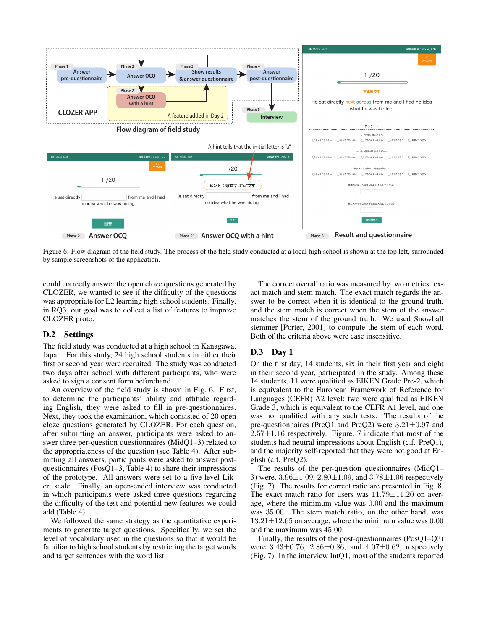<span id="page-8-0"></span>

Figure 6: Flow diagram of the field study. The process of the field study conducted at a local high school is shown at the top left, surrounded by sample screenshots of the application.

could correctly answer the open cloze questions generated by CLOZER, we wanted to see if the difficulty of the questions was appropriate for L2 learning high school students. Finally, in RQ3, our goal was to collect a list of features to improve CLOZER proto.

#### D.2 Settings

The field study was conducted at a high school in Kanagawa, Japan. For this study, 24 high school students in either their first or second year were recruited. The study was conducted two days after school with different participants, who were asked to sign a consent form beforehand.

An overview of the field study is shown in Fig. [6.](#page-8-0) First, to determine the participants' ability and attitude regarding English, they were asked to fill in pre-questionnaires. Next, they took the examination, which consisted of 20 open cloze questions generated by CLOZER. For each question, after submitting an answer, participants were asked to answer three per-question questionnaires (MidQ1–3) related to the appropriateness of the question (see Table [4\)](#page-9-0). After submitting all answers, participants were asked to answer postquestionnaires (PosQ1–3, Table [4\)](#page-9-0) to share their impressions of the prototype. All answers were set to a five-level Likert scale. Finally, an open-ended interview was conducted in which participants were asked three questions regarding the difficulty of the test and potential new features we could add (Table [4\)](#page-9-0).

We followed the same strategy as the quantitative experiments to generate target questions. Specifically, we set the level of vocabulary used in the questions so that it would be familiar to high school students by restricting the target words and target sentences with the word list.

The correct overall ratio was measured by two metrics: exact match and stem match. The exact match regards the answer to be correct when it is identical to the ground truth, and the stem match is correct when the stem of the answer matches the stem of the ground truth. We used Snowball stemmer [\[Porter, 2001\]](#page-13-29) to compute the stem of each word. Both of the criteria above were case insensitive.

### <span id="page-8-1"></span>D.3 Day 1

On the first day, 14 students, six in their first year and eight in their second year, participated in the study. Among these 14 students, 11 were qualified as EIKEN Grade Pre-2, which is equivalent to the European Framework of Reference for Languages (CEFR) A2 level; two were qualified as EIKEN Grade 3, which is equivalent to the CEFR A1 level, and one was not qualified with any such tests. The results of the pre-questionnaires (PreQ1 and PreQ2) were 3.21±0.97 and  $2.57\pm1.16$  respectively. Figure. [7](#page-9-1) indicate that most of the students had neutral impressions about English (c.f. PreQ1), and the majority self-reported that they were not good at English (c.f. PreQ2).

The results of the per-question questionnaires (MidQ1– 3) were, 3.96±1.09, 2.80±1.09, and 3.78±1.06 respectively (Fig. [7\)](#page-9-1). The results for correct ratio are presented in Fig. [8.](#page-10-0) The exact match ratio for users was  $11.79 \pm 11.20$  on average, where the minimum value was 0.00 and the maximum was 35.00. The stem match ratio, on the other hand, was  $13.21 \pm 12.65$  on average, where the minimum value was 0.00 and the maximum was 45.00.

Finally, the results of the post-questionnaires (PosQ1–Q3) were  $3.43\pm0.76$ ,  $2.86\pm0.86$ , and  $4.07\pm0.62$ , respectively (Fig. [7\)](#page-9-1). In the interview IntQ1, most of the students reported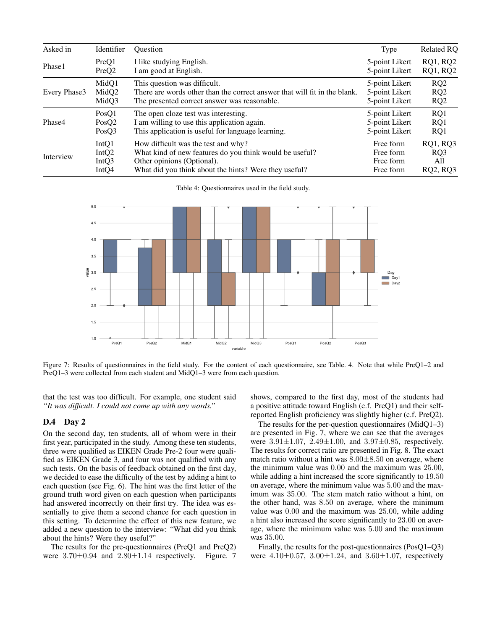<span id="page-9-0"></span>

| Asked in     | Identifier        | <b>Ouestion</b>                                                           | Type           | <b>Related RQ</b> |
|--------------|-------------------|---------------------------------------------------------------------------|----------------|-------------------|
| Phase1       | PreQ1             | I like studying English.                                                  | 5-point Likert | <b>RQ1, RQ2</b>   |
|              | PreQ <sub>2</sub> | I am good at English.                                                     | 5-point Likert | <b>RQ1, RQ2</b>   |
| Every Phase3 | MidQ1             | This question was difficult.                                              | 5-point Likert | RQ2               |
|              | MidQ2             | There are words other than the correct answer that will fit in the blank. | 5-point Likert | RQ2               |
|              | MidQ3             | The presented correct answer was reasonable.                              | 5-point Likert | RQ2               |
| Phase4       | PosO1             | The open cloze test was interesting.                                      | 5-point Likert | RQ1               |
|              | PosQ2             | I am willing to use this application again.                               | 5-point Likert | RQ1               |
|              | PosO3             | This application is useful for language learning.                         | 5-point Likert | RQ1               |
| Interview    | IntQ1             | How difficult was the test and why?                                       | Free form      | <b>RQ1, RQ3</b>   |
|              | IntQ2             | What kind of new features do you think would be useful?                   | Free form      | RQ3               |
|              | IntQ3             | Other opinions (Optional).                                                | Free form      | All               |
|              | Int <sub>O4</sub> | What did you think about the hints? Were they useful?                     | Free form      | <b>RQ2, RQ3</b>   |

Table 4: Questionnaires used in the field study.

<span id="page-9-1"></span>

Figure 7: Results of questionnaires in the field study. For the content of each questionnaire, see Table. [4.](#page-9-0) Note that while PreQ1–2 and PreQ1–3 were collected from each student and MidQ1–3 were from each question.

that the test was too difficult. For example, one student said *"It was difficult. I could not come up with any words."*

### <span id="page-9-2"></span>D.4 Day 2

On the second day, ten students, all of whom were in their first year, participated in the study. Among these ten students, three were qualified as EIKEN Grade Pre-2 four were qualified as EIKEN Grade 3, and four was not qualified with any such tests. On the basis of feedback obtained on the first day, we decided to ease the difficulty of the test by adding a hint to each question (see Fig. [6\)](#page-8-0). The hint was the first letter of the ground truth word given on each question when participants had answered incorrectly on their first try. The idea was essentially to give them a second chance for each question in this setting. To determine the effect of this new feature, we added a new question to the interview: "What did you think about the hints? Were they useful?"

The results for the pre-questionnaires (PreQ1 and PreQ2) were  $3.70\pm0.94$  and  $2.80\pm1.14$  respectively. Figure. [7](#page-9-1) shows, compared to the first day, most of the students had a positive attitude toward English (c.f. PreQ1) and their selfreported English proficiency was slightly higher (c.f. PreQ2).

The results for the per-question questionnaires (MidQ1–3) are presented in Fig. [7,](#page-9-1) where we can see that the averages were 3.91±1.07, 2.49±1.00, and 3.97±0.85, respectively. The results for correct ratio are presented in Fig. [8.](#page-10-0) The exact match ratio without a hint was  $8.00 \pm 8.50$  on average, where the minimum value was 0.00 and the maximum was 25.00, while adding a hint increased the score significantly to 19.50 on average, where the minimum value was 5.00 and the maximum was 35.00. The stem match ratio without a hint, on the other hand, was 8.50 on average, where the minimum value was 0.00 and the maximum was 25.00, while adding a hint also increased the score significantly to 23.00 on average, where the minimum value was 5.00 and the maximum was 35.00.

Finally, the results for the post-questionnaires (PosQ1–Q3) were  $4.10 \pm 0.57$ ,  $3.00 \pm 1.24$ , and  $3.60 \pm 1.07$ , respectively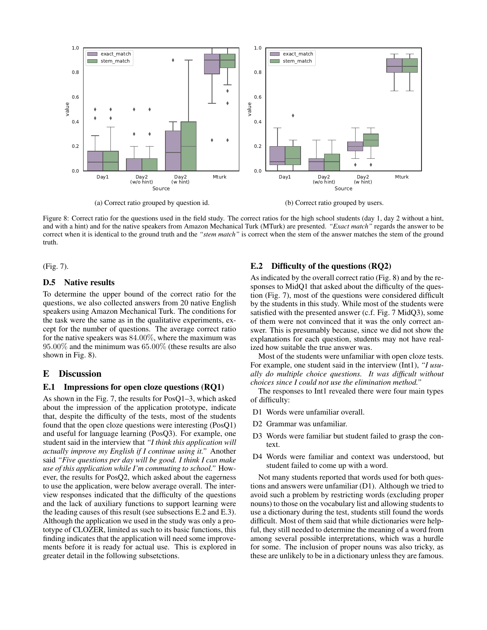<span id="page-10-0"></span>

Figure 8: Correct ratio for the questions used in the field study. The correct ratios for the high school students (day 1, day 2 without a hint, and with a hint) and for the native speakers from Amazon Mechanical Turk (MTurk) are presented. *"Exact match"* regards the answer to be correct when it is identical to the ground truth and the *"stem match"* is correct when the stem of the answer matches the stem of the ground truth.

(Fig. [7\)](#page-9-1).

### D.5 Native results

To determine the upper bound of the correct ratio for the questions, we also collected answers from 20 native English speakers using Amazon Mechanical Turk. The conditions for the task were the same as in the qualitative experiments, except for the number of questions. The average correct ratio for the native speakers was 84.00%, where the maximum was 95.00% and the minimum was 65.00% (these results are also shown in Fig. [8\)](#page-10-0).

### E Discussion

#### E.1 Impressions for open cloze questions (RQ1)

As shown in the Fig. [7,](#page-9-1) the results for PosQ1–3, which asked about the impression of the application prototype, indicate that, despite the difficulty of the tests, most of the students found that the open cloze questions were interesting (PosQ1) and useful for language learning (PosQ3). For example, one student said in the interview that *"I think this application will actually improve my English if I continue using it."* Another said *"Five questions per day will be good. I think I can make use of this application while I'm commuting to school."* However, the results for PosQ2, which asked about the eagerness to use the application, were below average overall. The interview responses indicated that the difficulty of the questions and the lack of auxiliary functions to support learning were the leading causes of this result (see subsections [E.2](#page-10-1) and [E.3\)](#page-11-0). Although the application we used in the study was only a prototype of CLOZER, limited as such to its basic functions, this finding indicates that the application will need some improvements before it is ready for actual use. This is explored in greater detail in the following subsetctions.

## <span id="page-10-1"></span>E.2 Difficulty of the questions (RQ2)

As indicated by the overall correct ratio (Fig. [8\)](#page-10-0) and by the responses to MidQ1 that asked about the difficulty of the question (Fig. [7\)](#page-9-1), most of the questions were considered difficult by the students in this study. While most of the students were satisfied with the presented answer (c.f. Fig. [7](#page-9-1) MidQ3), some of them were not convinced that it was the only correct answer. This is presumably because, since we did not show the explanations for each question, students may not have realized how suitable the true answer was.

Most of the students were unfamiliar with open cloze tests. For example, one student said in the interview (Int1), *"I usually do multiple choice questions. It was difficult without choices since I could not use the elimination method."*

The responses to Int1 revealed there were four main types of difficulty:

- D1 Words were unfamiliar overall.
- D2 Grammar was unfamiliar.
- D3 Words were familiar but student failed to grasp the context.
- D4 Words were familiar and context was understood, but student failed to come up with a word.

Not many students reported that words used for both questions and answers were unfamiliar (D1). Although we tried to avoid such a problem by restricting words (excluding proper nouns) to those on the vocabulary list and allowing students to use a dictionary during the test, students still found the words difficult. Most of them said that while dictionaries were helpful, they still needed to determine the meaning of a word from among several possible interpretations, which was a hurdle for some. The inclusion of proper nouns was also tricky, as these are unlikely to be in a dictionary unless they are famous.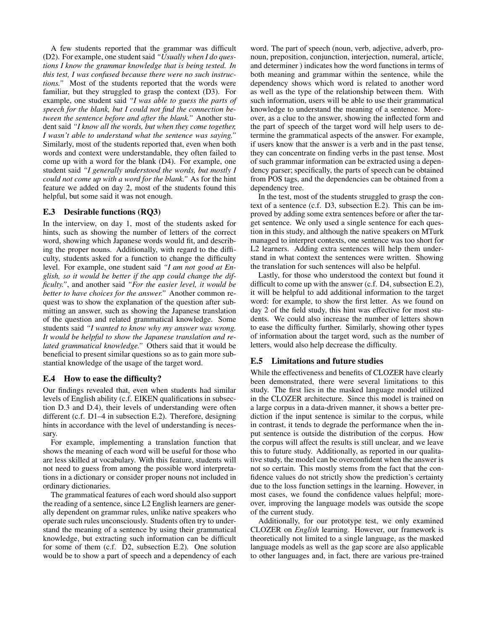A few students reported that the grammar was difficult (D2). For example, one student said *"Usually when I do questions I know the grammar knowledge that is being tested. In this test, I was confused because there were no such instructions."* Most of the students reported that the words were familiar, but they struggled to grasp the context (D3). For example, one student said *"I was able to guess the parts of speech for the blank, but I could not find the connection between the sentence before and after the blank."* Another student said *"I know all the words, but when they come together, I wasn't able to understand what the sentence was saying."* Similarly, most of the students reported that, even when both words and context were understandable, they often failed to come up with a word for the blank (D4). For example, one student said *"I generally understood the words, but mostly I could not come up with a word for the blank."* As for the hint feature we added on day 2, most of the students found this helpful, but some said it was not enough.

### <span id="page-11-0"></span>E.3 Desirable functions (RQ3)

In the interview, on day 1, most of the students asked for hints, such as showing the number of letters of the correct word, showing which Japanese words would fit, and describing the proper nouns. Additionally, with regard to the difficulty, students asked for a function to change the difficulty level. For example, one student said *"I am not good at English, so it would be better if the app could change the difficulty."*, and another said *"For the easier level, it would be better to have choices for the answer."* Another common request was to show the explanation of the question after submitting an answer, such as showing the Japanese translation of the question and related grammatical knowledge. Some students said *"I wanted to know why my answer was wrong. It would be helpful to show the Japanese translation and related grammatical knowledge."* Others said that it would be beneficial to present similar questions so as to gain more substantial knowledge of the usage of the target word.

### E.4 How to ease the difficulty?

Our findings revealed that, even when students had similar levels of English ability (c.f. EIKEN qualifications in subsection [D.3](#page-8-1) and [D.4\)](#page-9-2), their levels of understanding were often different (c.f. D1–4 in subsection [E.2\)](#page-10-1). Therefore, designing hints in accordance with the level of understanding is necessary.

For example, implementing a translation function that shows the meaning of each word will be useful for those who are less skilled at vocabulary. With this feature, students will not need to guess from among the possible word interpretations in a dictionary or consider proper nouns not included in ordinary dictionaries.

The grammatical features of each word should also support the reading of a sentence, since L2 English learners are generally dependent on grammar rules, unlike native speakers who operate such rules unconsciously. Students often try to understand the meaning of a sentence by using their grammatical knowledge, but extracting such information can be difficult for some of them (c.f. D2, subsection [E.2\)](#page-10-1). One solution would be to show a part of speech and a dependency of each word. The part of speech (noun, verb, adjective, adverb, pronoun, preposition, conjunction, interjection, numeral, article, and determiner ) indicates how the word functions in terms of both meaning and grammar within the sentence, while the dependency shows which word is related to another word as well as the type of the relationship between them. With such information, users will be able to use their grammatical knowledge to understand the meaning of a sentence. Moreover, as a clue to the answer, showing the inflected form and the part of speech of the target word will help users to determine the grammatical aspects of the answer. For example, if users know that the answer is a verb and in the past tense, they can concentrate on finding verbs in the past tense. Most of such grammar information can be extracted using a dependency parser; specifically, the parts of speech can be obtained from POS tags, and the dependencies can be obtained from a dependency tree.

In the test, most of the students struggled to grasp the context of a sentence (c.f. D3, subsection [E.2\)](#page-10-1). This can be improved by adding some extra sentences before or after the target sentence. We only used a single sentence for each question in this study, and although the native speakers on MTurk managed to interpret contexts, one sentence was too short for L2 learners. Adding extra sentences will help them understand in what context the sentences were written. Showing the translation for such sentences will also be helpful.

Lastly, for those who understood the context but found it difficult to come up with the answer (c.f. D4, subsection [E.2\)](#page-10-1), it will be helpful to add additional information to the target word: for example, to show the first letter. As we found on day 2 of the field study, this hint was effective for most students. We could also increase the number of letters shown to ease the difficulty further. Similarly, showing other types of information about the target word, such as the number of letters, would also help decrease the difficulty.

### E.5 Limitations and future studies

While the effectiveness and benefits of CLOZER have clearly been demonstrated, there were several limitations to this study. The first lies in the masked language model utilized in the CLOZER architecture. Since this model is trained on a large corpus in a data-driven manner, it shows a better prediction if the input sentence is similar to the corpus, while in contrast, it tends to degrade the performance when the input sentence is outside the distribution of the corpus. How the corpus will affect the results is still unclear, and we leave this to future study. Additionally, as reported in our qualitative study, the model can be overconfident when the answer is not so certain. This mostly stems from the fact that the confidence values do not strictly show the prediction's certainty due to the loss function settings in the learning. However, in most cases, we found the confidence values helpful; moreover, improving the language models was outside the scope of the current study.

Additionally, for our prototype test, we only examined CLOZER on *English* learning. However, our framework is theoretically not limited to a single language, as the masked language models as well as the gap score are also applicable to other languages and, in fact, there are various pre-trained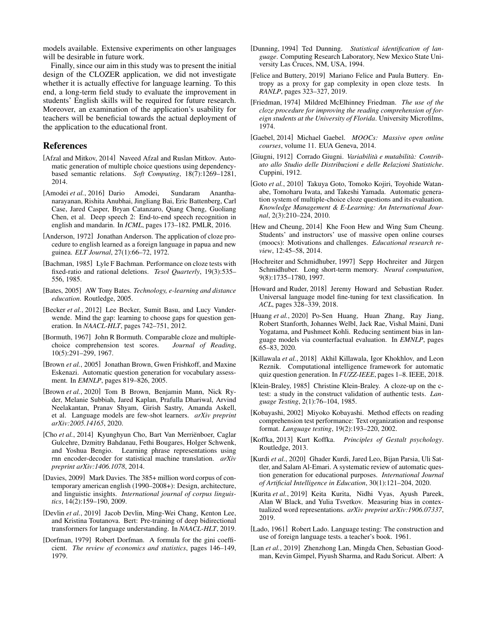models available. Extensive experiments on other languages will be desirable in future work.

Finally, since our aim in this study was to present the initial design of the CLOZER application, we did not investigate whether it is actually effective for language learning. To this end, a long-term field study to evaluate the improvement in students' English skills will be required for future research. Moreover, an examination of the application's usability for teachers will be beneficial towards the actual deployment of the application to the educational front.

### References

- <span id="page-12-24"></span>[Afzal and Mitkov, 2014] Naveed Afzal and Ruslan Mitkov. Automatic generation of multiple choice questions using dependencybased semantic relations. *Soft Computing*, 18(7):1269–1281, 2014.
- <span id="page-12-25"></span>[Amodei *et al.*, 2016] Dario Amodei, Sundaram Ananthanarayanan, Rishita Anubhai, Jingliang Bai, Eric Battenberg, Carl Case, Jared Casper, Bryan Catanzaro, Qiang Cheng, Guoliang Chen, et al. Deep speech 2: End-to-end speech recognition in english and mandarin. In *ICML*, pages 173–182. PMLR, 2016.
- <span id="page-12-15"></span>[Anderson, 1972] Jonathan Anderson. The application of cloze procedure to english learned as a foreign language in papua and new guinea. *ELT Journal*, 27(1):66–72, 1972.
- <span id="page-12-17"></span>[Bachman, 1985] Lyle F Bachman. Performance on cloze tests with fixed-ratio and rational deletions. *Tesol Quarterly*, 19(3):535– 556, 1985.
- <span id="page-12-22"></span>[Bates, 2005] AW Tony Bates. *Technology, e-learning and distance education*. Routledge, 2005.
- <span id="page-12-5"></span>[Becker et al., 2012] Lee Becker, Sumit Basu, and Lucy Vanderwende. Mind the gap: learning to choose gaps for question generation. In *NAACL-HLT*, pages 742–751, 2012.
- <span id="page-12-0"></span>[Bormuth, 1967] John R Bormuth. Comparable cloze and multiplechoice comprehension test scores. *Journal of Reading*, 10(5):291–299, 1967.
- <span id="page-12-1"></span>[Brown *et al.*, 2005] Jonathan Brown, Gwen Frishkoff, and Maxine Eskenazi. Automatic question generation for vocabulary assessment. In *EMNLP*, pages 819–826, 2005.
- <span id="page-12-26"></span>[Brown *et al.*, 2020] Tom B Brown, Benjamin Mann, Nick Ryder, Melanie Subbiah, Jared Kaplan, Prafulla Dhariwal, Arvind Neelakantan, Pranav Shyam, Girish Sastry, Amanda Askell, et al. Language models are few-shot learners. *arXiv preprint arXiv:2005.14165*, 2020.
- <span id="page-12-30"></span>[Cho *et al.*, 2014] Kyunghyun Cho, Bart Van Merrienboer, Caglar Gulcehre, Dzmitry Bahdanau, Fethi Bougares, Holger Schwenk, and Yoshua Bengio. Learning phrase representations using rnn encoder-decoder for statistical machine translation. *arXiv preprint arXiv:1406.1078*, 2014.
- <span id="page-12-9"></span>[Davies, 2009] Mark Davies. The 385+ million word corpus of contemporary american english (1990–2008+): Design, architecture, and linguistic insights. *International journal of corpus linguistics*, 14(2):159–190, 2009.
- <span id="page-12-2"></span>[Devlin *et al.*, 2019] Jacob Devlin, Ming-Wei Chang, Kenton Lee, and Kristina Toutanova. Bert: Pre-training of deep bidirectional transformers for language understanding. In *NAACL-HLT*, 2019.
- <span id="page-12-8"></span>[Dorfman, 1979] Robert Dorfman. A formula for the gini coefficient. *The review of economics and statistics*, pages 146–149, 1979.
- <span id="page-12-28"></span>[Dunning, 1994] Ted Dunning. *Statistical identification of language*. Computing Research Laboratory, New Mexico State University Las Cruces, NM, USA, 1994.
- <span id="page-12-6"></span>[Felice and Buttery, 2019] Mariano Felice and Paula Buttery. Entropy as a proxy for gap complexity in open cloze tests. In *RANLP*, pages 323–327, 2019.
- <span id="page-12-14"></span>[Friedman, 1974] Mildred McElhinney Friedman. *The use of the cloze procedure for improving the reading comprehension of foreign students at the University of Florida*. University Microfilms, 1974.
- <span id="page-12-20"></span>[Gaebel, 2014] Michael Gaebel. *MOOCs: Massive open online courses*, volume 11. EUA Geneva, 2014.
- <span id="page-12-7"></span>[Giugni, 1912] Corrado Giugni. *Variabilità e mutabilità: Contributo allo Studio delle Distribuzioni e delle Relazioni Statistiche*. Cuppini, 1912.
- <span id="page-12-3"></span>[Goto *et al.*, 2010] Takuya Goto, Tomoko Kojiri, Toyohide Watanabe, Tomoharu Iwata, and Takeshi Yamada. Automatic generation system of multiple-choice cloze questions and its evaluation. *Knowledge Management & E-Learning: An International Journal*, 2(3):210–224, 2010.
- <span id="page-12-21"></span>[Hew and Cheung, 2014] Khe Foon Hew and Wing Sum Cheung. Students' and instructors' use of massive open online courses (moocs): Motivations and challenges. *Educational research review*, 12:45–58, 2014.
- <span id="page-12-29"></span>[Hochreiter and Schmidhuber, 1997] Sepp Hochreiter and Jürgen Schmidhuber. Long short-term memory. *Neural computation*, 9(8):1735–1780, 1997.
- <span id="page-12-27"></span>[Howard and Ruder, 2018] Jeremy Howard and Sebastian Ruder. Universal language model fine-tuning for text classification. In *ACL*, pages 328–339, 2018.
- <span id="page-12-12"></span>[Huang *et al.*, 2020] Po-Sen Huang, Huan Zhang, Ray Jiang, Robert Stanforth, Johannes Welbl, Jack Rae, Vishal Maini, Dani Yogatama, and Pushmeet Kohli. Reducing sentiment bias in language models via counterfactual evaluation. In *EMNLP*, pages 65–83, 2020.
- <span id="page-12-23"></span>[Killawala *et al.*, 2018] Akhil Killawala, Igor Khokhlov, and Leon Reznik. Computational intelligence framework for automatic quiz question generation. In *FUZZ-IEEE*, pages 1–8. IEEE, 2018.
- <span id="page-12-16"></span>[Klein-Braley, 1985] Christine Klein-Braley. A cloze-up on the ctest: a study in the construct validation of authentic tests. *Language Testing*, 2(1):76–104, 1985.
- <span id="page-12-18"></span>[Kobayashi, 2002] Miyoko Kobayashi. Method effects on reading comprehension test performance: Text organization and response format. *Language testing*, 19(2):193–220, 2002.
- <span id="page-12-13"></span>[Koffka, 2013] Kurt Koffka. *Principles of Gestalt psychology*. Routledge, 2013.
- <span id="page-12-4"></span>[Kurdi *et al.*, 2020] Ghader Kurdi, Jared Leo, Bijan Parsia, Uli Sattler, and Salam Al-Emari. A systematic review of automatic question generation for educational purposes. *International Journal of Artificial Intelligence in Education*, 30(1):121–204, 2020.
- <span id="page-12-11"></span>[Kurita *et al.*, 2019] Keita Kurita, Nidhi Vyas, Ayush Pareek, Alan W Black, and Yulia Tsvetkov. Measuring bias in contextualized word representations. *arXiv preprint arXiv:1906.07337*, 2019.
- <span id="page-12-19"></span>[Lado, 1961] Robert Lado. Language testing: The construction and use of foreign language tests. a teacher's book. 1961.
- <span id="page-12-10"></span>[Lan *et al.*, 2019] Zhenzhong Lan, Mingda Chen, Sebastian Goodman, Kevin Gimpel, Piyush Sharma, and Radu Soricut. Albert: A